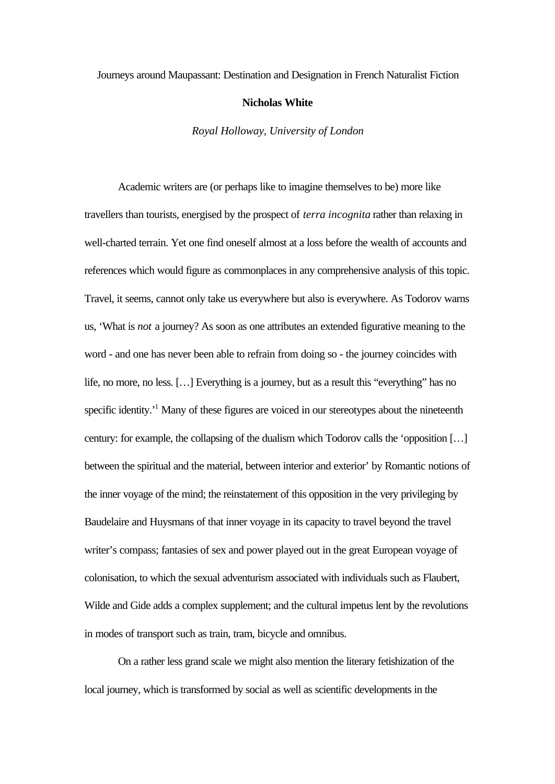## Journeys around Maupassant: Destination and Designation in French Naturalist Fiction

## **Nicholas White**

*Royal Holloway, University of London*

Academic writers are (or perhaps like to imagine themselves to be) more like travellers than tourists, energised by the prospect of *terra incognita* rather than relaxing in well-charted terrain. Yet one find oneself almost at a loss before the wealth of accounts and references which would figure as commonplaces in any comprehensive analysis of this topic. Travel, it seems, cannot only take us everywhere but also is everywhere. As Todorov warns us, 'What is *not* a journey? As soon as one attributes an extended figurative meaning to the word - and one has never been able to refrain from doing so - the journey coincides with life, no more, no less. […] Everything is a journey, but as a result this "everything" has no specific identity.<sup>1</sup> Many of these figures are voiced in our stereotypes about the nineteenth century: for example, the collapsing of the dualism which Todorov calls the 'opposition […] between the spiritual and the material, between interior and exterior' by Romantic notions of the inner voyage of the mind; the reinstatement of this opposition in the very privileging by Baudelaire and Huysmans of that inner voyage in its capacity to travel beyond the travel writer's compass; fantasies of sex and power played out in the great European voyage of colonisation, to which the sexual adventurism associated with individuals such as Flaubert, Wilde and Gide adds a complex supplement; and the cultural impetus lent by the revolutions in modes of transport such as train, tram, bicycle and omnibus.

On a rather less grand scale we might also mention the literary fetishization of the local journey, which is transformed by social as well as scientific developments in the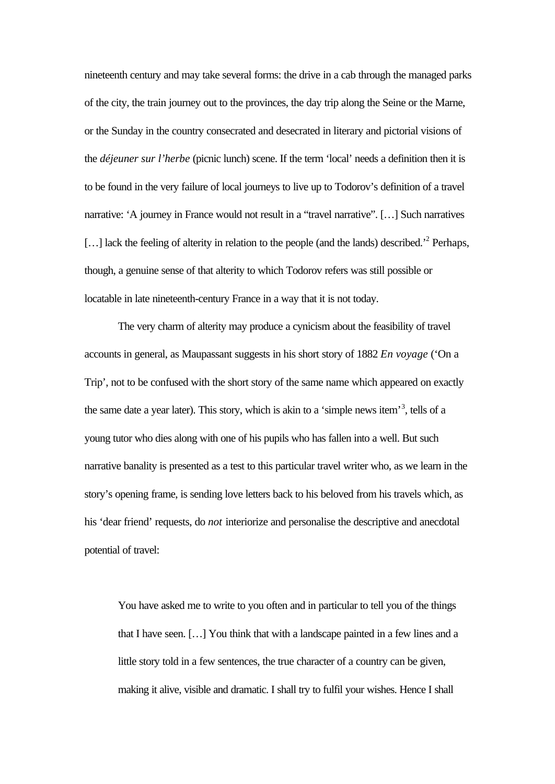nineteenth century and may take several forms: the drive in a cab through the managed parks of the city, the train journey out to the provinces, the day trip along the Seine or the Marne, or the Sunday in the country consecrated and desecrated in literary and pictorial visions of the *déjeuner sur l'herbe* (picnic lunch) scene. If the term 'local' needs a definition then it is to be found in the very failure of local journeys to live up to Todorov's definition of a travel narrative: 'A journey in France would not result in a "travel narrative". […] Such narratives [...] lack the feeling of alterity in relation to the people (and the lands) described.<sup>2</sup> Perhaps, though, a genuine sense of that alterity to which Todorov refers was still possible or locatable in late nineteenth-century France in a way that it is not today.

The very charm of alterity may produce a cynicism about the feasibility of travel accounts in general, as Maupassant suggests in his short story of 1882 *En voyage* ('On a Trip', not to be confused with the short story of the same name which appeared on exactly the same date a year later). This story, which is akin to a 'simple news item'<sup>3</sup>, tells of a young tutor who dies along with one of his pupils who has fallen into a well. But such narrative banality is presented as a test to this particular travel writer who, as we learn in the story's opening frame, is sending love letters back to his beloved from his travels which, as his 'dear friend' requests, do *not* interiorize and personalise the descriptive and anecdotal potential of travel:

You have asked me to write to you often and in particular to tell you of the things that I have seen. […] You think that with a landscape painted in a few lines and a little story told in a few sentences, the true character of a country can be given, making it alive, visible and dramatic. I shall try to fulfil your wishes. Hence I shall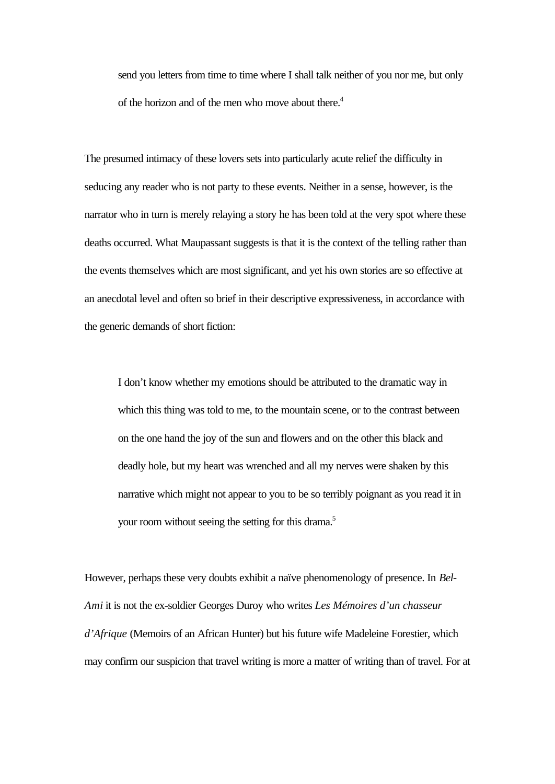send you letters from time to time where I shall talk neither of you nor me, but only of the horizon and of the men who move about there.<sup>4</sup>

The presumed intimacy of these lovers sets into particularly acute relief the difficulty in seducing any reader who is not party to these events. Neither in a sense, however, is the narrator who in turn is merely relaying a story he has been told at the very spot where these deaths occurred. What Maupassant suggests is that it is the context of the telling rather than the events themselves which are most significant, and yet his own stories are so effective at an anecdotal level and often so brief in their descriptive expressiveness, in accordance with the generic demands of short fiction:

I don't know whether my emotions should be attributed to the dramatic way in which this thing was told to me, to the mountain scene, or to the contrast between on the one hand the joy of the sun and flowers and on the other this black and deadly hole, but my heart was wrenched and all my nerves were shaken by this narrative which might not appear to you to be so terribly poignant as you read it in your room without seeing the setting for this drama.<sup>5</sup>

However, perhaps these very doubts exhibit a naïve phenomenology of presence. In *Bel-Ami* it is not the ex-soldier Georges Duroy who writes *Les Mémoires d'un chasseur d'Afrique* (Memoirs of an African Hunter) but his future wife Madeleine Forestier, which may confirm our suspicion that travel writing is more a matter of writing than of travel. For at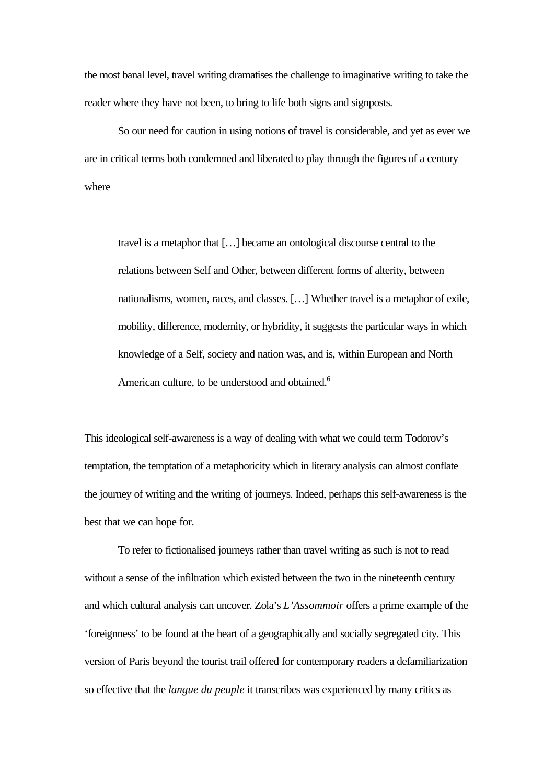the most banal level, travel writing dramatises the challenge to imaginative writing to take the reader where they have not been, to bring to life both signs and signposts.

So our need for caution in using notions of travel is considerable, and yet as ever we are in critical terms both condemned and liberated to play through the figures of a century where

travel is a metaphor that […] became an ontological discourse central to the relations between Self and Other, between different forms of alterity, between nationalisms, women, races, and classes. […] Whether travel is a metaphor of exile, mobility, difference, modernity, or hybridity, it suggests the particular ways in which knowledge of a Self, society and nation was, and is, within European and North American culture, to be understood and obtained.<sup>6</sup>

This ideological self-awareness is a way of dealing with what we could term Todorov's temptation, the temptation of a metaphoricity which in literary analysis can almost conflate the journey of writing and the writing of journeys. Indeed, perhaps this self-awareness is the best that we can hope for.

To refer to fictionalised journeys rather than travel writing as such is not to read without a sense of the infiltration which existed between the two in the nineteenth century and which cultural analysis can uncover. Zola's *L'Assommoir* offers a prime example of the 'foreignness' to be found at the heart of a geographically and socially segregated city. This version of Paris beyond the tourist trail offered for contemporary readers a defamiliarization so effective that the *langue du peuple* it transcribes was experienced by many critics as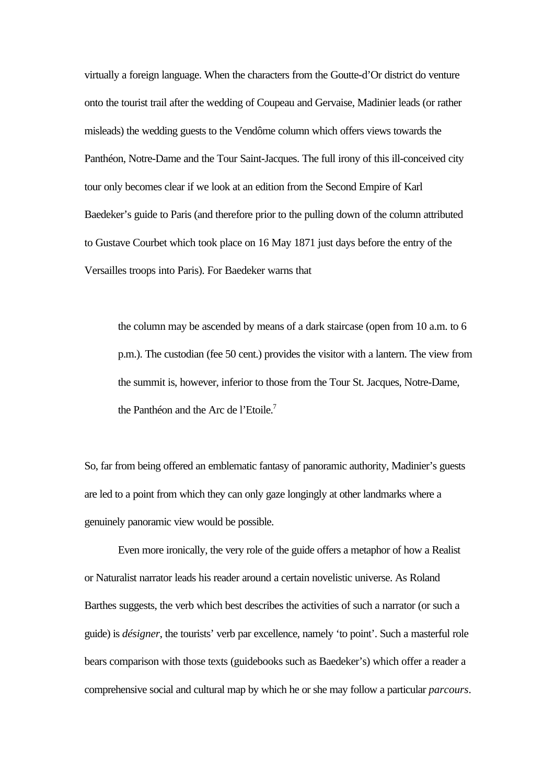virtually a foreign language. When the characters from the Goutte-d'Or district do venture onto the tourist trail after the wedding of Coupeau and Gervaise, Madinier leads (or rather misleads) the wedding guests to the Vendôme column which offers views towards the Panthéon, Notre-Dame and the Tour Saint-Jacques. The full irony of this ill-conceived city tour only becomes clear if we look at an edition from the Second Empire of Karl Baedeker's guide to Paris (and therefore prior to the pulling down of the column attributed to Gustave Courbet which took place on 16 May 1871 just days before the entry of the Versailles troops into Paris). For Baedeker warns that

the column may be ascended by means of a dark staircase (open from 10 a.m. to 6 p.m.). The custodian (fee 50 cent.) provides the visitor with a lantern. The view from the summit is, however, inferior to those from the Tour St. Jacques, Notre-Dame, the Panthéon and the Arc de l'Etoile.<sup>7</sup>

So, far from being offered an emblematic fantasy of panoramic authority, Madinier's guests are led to a point from which they can only gaze longingly at other landmarks where a genuinely panoramic view would be possible.

Even more ironically, the very role of the guide offers a metaphor of how a Realist or Naturalist narrator leads his reader around a certain novelistic universe. As Roland Barthes suggests, the verb which best describes the activities of such a narrator (or such a guide) is *désigner*, the tourists' verb par excellence, namely 'to point'. Such a masterful role bears comparison with those texts (guidebooks such as Baedeker's) which offer a reader a comprehensive social and cultural map by which he or she may follow a particular *parcours*.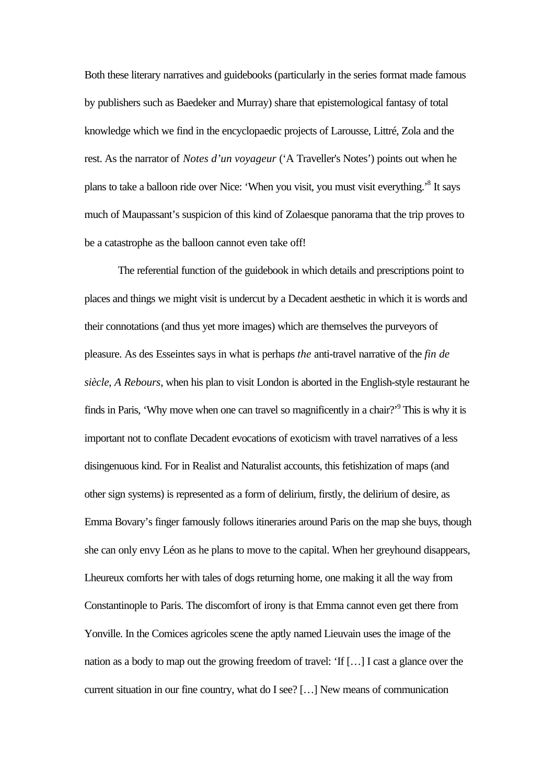Both these literary narratives and guidebooks (particularly in the series format made famous by publishers such as Baedeker and Murray) share that epistemological fantasy of total knowledge which we find in the encyclopaedic projects of Larousse, Littré, Zola and the rest. As the narrator of *Notes d'un voyageur* ('A Traveller's Notes') points out when he plans to take a balloon ride over Nice: 'When you visit, you must visit everything.'<sup>8</sup> It says much of Maupassant's suspicion of this kind of Zolaesque panorama that the trip proves to be a catastrophe as the balloon cannot even take off!

The referential function of the guidebook in which details and prescriptions point to places and things we might visit is undercut by a Decadent aesthetic in which it is words and their connotations (and thus yet more images) which are themselves the purveyors of pleasure. As des Esseintes says in what is perhaps *the* anti-travel narrative of the *fin de siècle*, *A Rebours*, when his plan to visit London is aborted in the English-style restaurant he finds in Paris, 'Why move when one can travel so magnificently in a chair?'<sup>9</sup> This is why it is important not to conflate Decadent evocations of exoticism with travel narratives of a less disingenuous kind. For in Realist and Naturalist accounts, this fetishization of maps (and other sign systems) is represented as a form of delirium, firstly, the delirium of desire, as Emma Bovary's finger famously follows itineraries around Paris on the map she buys, though she can only envy Léon as he plans to move to the capital. When her greyhound disappears, Lheureux comforts her with tales of dogs returning home, one making it all the way from Constantinople to Paris. The discomfort of irony is that Emma cannot even get there from Yonville. In the Comices agricoles scene the aptly named Lieuvain uses the image of the nation as a body to map out the growing freedom of travel: 'If […] I cast a glance over the current situation in our fine country, what do I see? […] New means of communication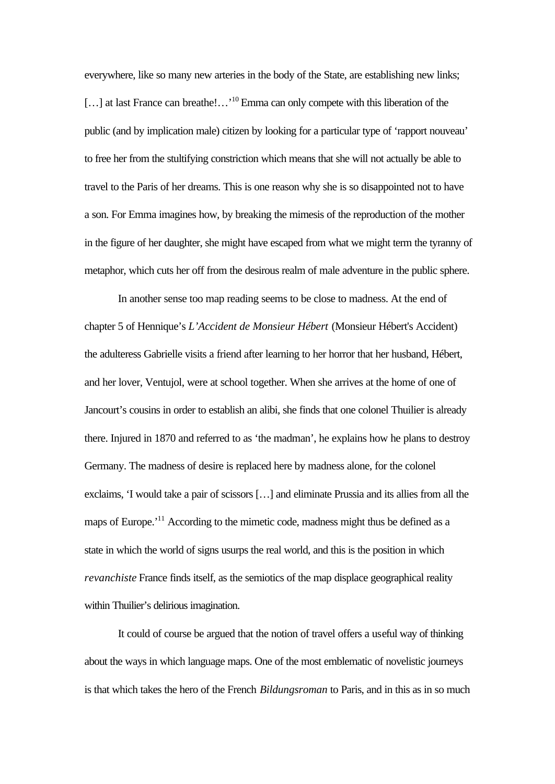everywhere, like so many new arteries in the body of the State, are establishing new links; [...] at last France can breathe!...'<sup>10</sup> Emma can only compete with this liberation of the public (and by implication male) citizen by looking for a particular type of 'rapport nouveau' to free her from the stultifying constriction which means that she will not actually be able to travel to the Paris of her dreams. This is one reason why she is so disappointed not to have a son. For Emma imagines how, by breaking the mimesis of the reproduction of the mother in the figure of her daughter, she might have escaped from what we might term the tyranny of metaphor, which cuts her off from the desirous realm of male adventure in the public sphere.

In another sense too map reading seems to be close to madness. At the end of chapter 5 of Hennique's *L'Accident de Monsieur Hébert* (Monsieur Hébert's Accident) the adulteress Gabrielle visits a friend after learning to her horror that her husband, Hébert, and her lover, Ventujol, were at school together. When she arrives at the home of one of Jancourt's cousins in order to establish an alibi, she finds that one colonel Thuilier is already there. Injured in 1870 and referred to as 'the madman', he explains how he plans to destroy Germany. The madness of desire is replaced here by madness alone, for the colonel exclaims, 'I would take a pair of scissors […] and eliminate Prussia and its allies from all the maps of Europe.'<sup>11</sup> According to the mimetic code, madness might thus be defined as a state in which the world of signs usurps the real world, and this is the position in which *revanchiste* France finds itself, as the semiotics of the map displace geographical reality within Thuilier's delirious imagination.

It could of course be argued that the notion of travel offers a useful way of thinking about the ways in which language maps. One of the most emblematic of novelistic journeys is that which takes the hero of the French *Bildungsroman* to Paris, and in this as in so much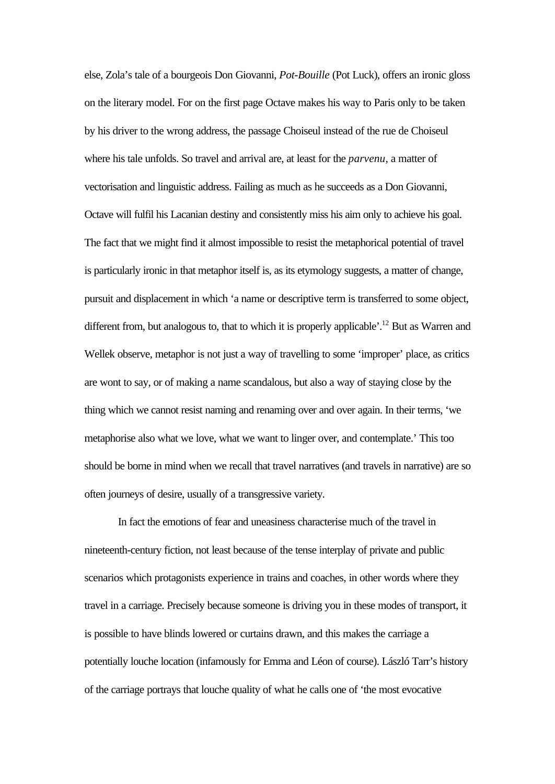else, Zola's tale of a bourgeois Don Giovanni, *Pot-Bouille* (Pot Luck), offers an ironic gloss on the literary model. For on the first page Octave makes his way to Paris only to be taken by his driver to the wrong address, the passage Choiseul instead of the rue de Choiseul where his tale unfolds. So travel and arrival are, at least for the *parvenu*, a matter of vectorisation and linguistic address. Failing as much as he succeeds as a Don Giovanni, Octave will fulfil his Lacanian destiny and consistently miss his aim only to achieve his goal. The fact that we might find it almost impossible to resist the metaphorical potential of travel is particularly ironic in that metaphor itself is, as its etymology suggests, a matter of change, pursuit and displacement in which 'a name or descriptive term is transferred to some object, different from, but analogous to, that to which it is properly applicable'.<sup>12</sup> But as Warren and Wellek observe, metaphor is not just a way of travelling to some 'improper' place, as critics are wont to say, or of making a name scandalous, but also a way of staying close by the thing which we cannot resist naming and renaming over and over again. In their terms, 'we metaphorise also what we love, what we want to linger over, and contemplate.' This too should be borne in mind when we recall that travel narratives (and travels in narrative) are so often journeys of desire, usually of a transgressive variety.

In fact the emotions of fear and uneasiness characterise much of the travel in nineteenth-century fiction, not least because of the tense interplay of private and public scenarios which protagonists experience in trains and coaches, in other words where they travel in a carriage. Precisely because someone is driving you in these modes of transport, it is possible to have blinds lowered or curtains drawn, and this makes the carriage a potentially louche location (infamously for Emma and Léon of course). László Tarr's history of the carriage portrays that louche quality of what he calls one of 'the most evocative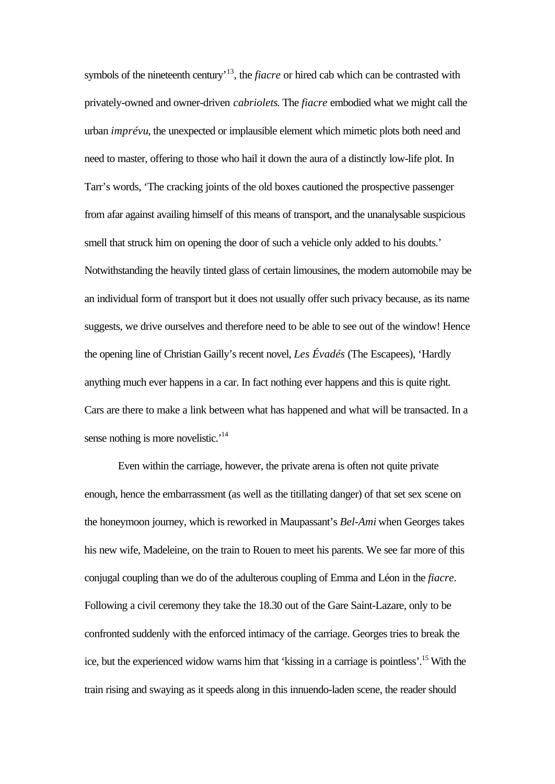symbols of the nineteenth century<sup>13</sup>, the *fiacre* or hired cab which can be contrasted with privately-owned and owner-driven *cabriolets*. The *fiacre* embodied what we might call the urban *imprévu*, the unexpected or implausible element which mimetic plots both need and need to master, offering to those who hail it down the aura of a distinctly low-life plot. In Tarr's words, 'The cracking joints of the old boxes cautioned the prospective passenger from afar against availing himself of this means of transport, and the unanalysable suspicious smell that struck him on opening the door of such a vehicle only added to his doubts.' Notwithstanding the heavily tinted glass of certain limousines, the modern automobile may be an individual form of transport but it does not usually offer such privacy because, as its name suggests, we drive ourselves and therefore need to be able to see out of the window! Hence the opening line of Christian Gailly's recent novel, *Les Évadés* (The Escapees), 'Hardly anything much ever happens in a car. In fact nothing ever happens and this is quite right. Cars are there to make a link between what has happened and what will be transacted. In a sense nothing is more novelistic.<sup>'14</sup>

Even within the carriage, however, the private arena is often not quite private enough, hence the embarrassment (as well as the titillating danger) of that set sex scene on the honeymoon journey, which is reworked in Maupassant's *Bel-Ami* when Georges takes his new wife, Madeleine, on the train to Rouen to meet his parents. We see far more of this conjugal coupling than we do of the adulterous coupling of Emma and Léon in the *fiacre*. Following a civil ceremony they take the 18.30 out of the Gare Saint-Lazare, only to be confronted suddenly with the enforced intimacy of the carriage. Georges tries to break the ice, but the experienced widow warns him that 'kissing in a carriage is pointless'.<sup>15</sup>With the train rising and swaying as it speeds along in this innuendo-laden scene, the reader should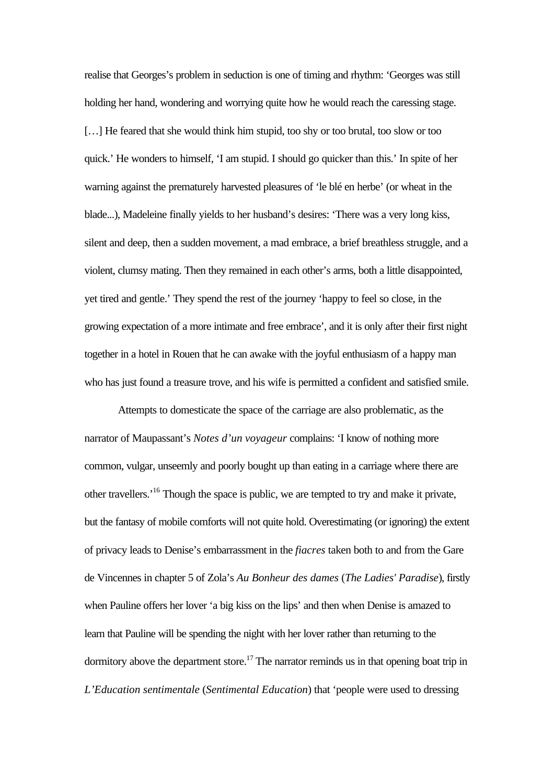realise that Georges's problem in seduction is one of timing and rhythm: 'Georges was still holding her hand, wondering and worrying quite how he would reach the caressing stage. [...] He feared that she would think him stupid, too shy or too brutal, too slow or too quick.' He wonders to himself, 'I am stupid. I should go quicker than this.' In spite of her warning against the prematurely harvested pleasures of 'le blé en herbe' (or wheat in the blade...), Madeleine finally yields to her husband's desires: 'There was a very long kiss, silent and deep, then a sudden movement, a mad embrace, a brief breathless struggle, and a violent, clumsy mating. Then they remained in each other's arms, both a little disappointed, yet tired and gentle.' They spend the rest of the journey 'happy to feel so close, in the growing expectation of a more intimate and free embrace', and it is only after their first night together in a hotel in Rouen that he can awake with the joyful enthusiasm of a happy man who has just found a treasure trove, and his wife is permitted a confident and satisfied smile.

Attempts to domesticate the space of the carriage are also problematic, as the narrator of Maupassant's *Notes d'un voyageur* complains: 'I know of nothing more common, vulgar, unseemly and poorly bought up than eating in a carriage where there are other travellers.'<sup>16</sup> Though the space is public, we are tempted to try and make it private, but the fantasy of mobile comforts will not quite hold. Overestimating (or ignoring) the extent of privacy leads to Denise's embarrassment in the *fiacres* taken both to and from the Gare de Vincennes in chapter 5 of Zola's *Au Bonheur des dames* (*The Ladies' Paradise*), firstly when Pauline offers her lover 'a big kiss on the lips' and then when Denise is amazed to learn that Pauline will be spending the night with her lover rather than returning to the dormitory above the department store.<sup>17</sup> The narrator reminds us in that opening boat trip in *L'Education sentimentale* (*Sentimental Education*) that 'people were used to dressing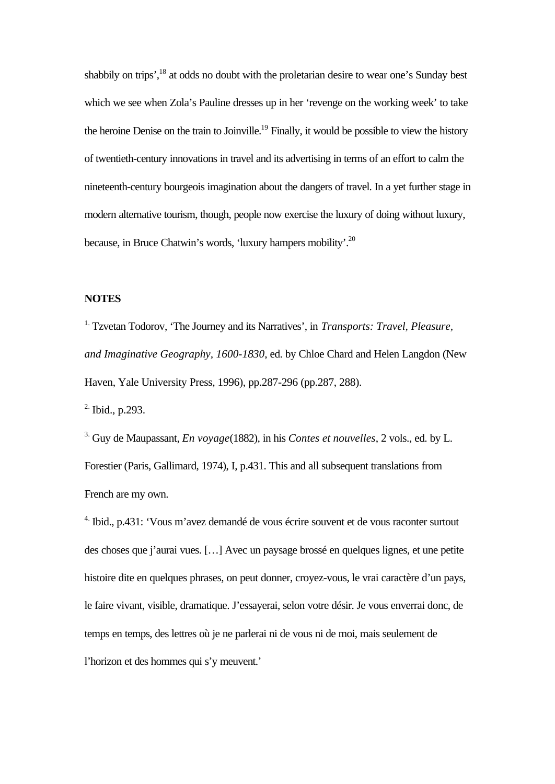shabbily on trips',<sup>18</sup> at odds no doubt with the proletarian desire to wear one's Sunday best which we see when Zola's Pauline dresses up in her 'revenge on the working week' to take the heroine Denise on the train to Joinville.<sup>19</sup> Finally, it would be possible to view the history of twentieth-century innovations in travel and its advertising in terms of an effort to calm the nineteenth-century bourgeois imagination about the dangers of travel. In a yet further stage in modern alternative tourism, though, people now exercise the luxury of doing without luxury, because, in Bruce Chatwin's words, 'luxury hampers mobility'.<sup>20</sup>

## **NOTES**

1. Tzvetan Todorov, 'The Journey and its Narratives', in *Transports: Travel, Pleasure, and Imaginative Geography, 1600-1830*, ed. by Chloe Chard and Helen Langdon (New Haven, Yale University Press, 1996), pp.287-296 (pp.287, 288).

2. Ibid., p.293.

3. Guy de Maupassant, *En voyage*(1882), in his *Contes et nouvelles*, 2 vols., ed. by L. Forestier (Paris, Gallimard, 1974), I, p.431. This and all subsequent translations from French are my own.

4. Ibid., p.431: 'Vous m'avez demandé de vous écrire souvent et de vous raconter surtout des choses que j'aurai vues. […] Avec un paysage brossé en quelques lignes, et une petite histoire dite en quelques phrases, on peut donner, croyez-vous, le vrai caractère d'un pays, le faire vivant, visible, dramatique. J'essayerai, selon votre désir. Je vous enverrai donc, de temps en temps, des lettres où je ne parlerai ni de vous ni de moi, mais seulement de l'horizon et des hommes qui s'y meuvent.'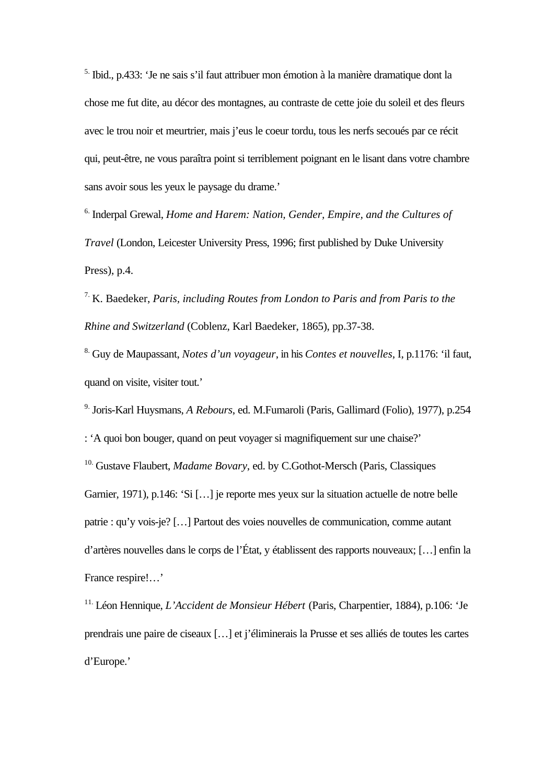5. Ibid., p.433: 'Je ne sais s'il faut attribuer mon émotion à la manière dramatique dont la chose me fut dite, au décor des montagnes, au contraste de cette joie du soleil et des fleurs avec le trou noir et meurtrier, mais j'eus le coeur tordu, tous les nerfs secoués par ce récit qui, peut-être, ne vous paraîtra point si terriblement poignant en le lisant dans votre chambre sans avoir sous les yeux le paysage du drame.'

6. Inderpal Grewal, *Home and Harem: Nation, Gender, Empire, and the Cultures of Travel* (London, Leicester University Press, 1996; first published by Duke University Press), p.4.

7. K. Baedeker, *Paris, including Routes from London to Paris and from Paris to the Rhine and Switzerland* (Coblenz, Karl Baedeker, 1865), pp.37-38.

8. Guy de Maupassant, *Notes d'un voyageur*, in his *Contes et nouvelles*, I, p.1176: 'il faut, quand on visite, visiter tout.'

9. Joris-Karl Huysmans, *A Rebours*, ed. M.Fumaroli (Paris, Gallimard (Folio), 1977), p.254 : 'A quoi bon bouger, quand on peut voyager si magnifiquement sur une chaise?' <sup>10.</sup> Gustave Flaubert, *Madame Bovary*, ed. by C.Gothot-Mersch (Paris, Classiques Garnier, 1971), p.146: 'Si […] je reporte mes yeux sur la situation actuelle de notre belle patrie : qu'y vois-je? […] Partout des voies nouvelles de communication, comme autant d'artères nouvelles dans le corps de l'État, y établissent des rapports nouveaux; […] enfin la France respire!…'

11. Léon Hennique, *L'Accident de Monsieur Hébert* (Paris, Charpentier, 1884), p.106: 'Je prendrais une paire de ciseaux […] et j'éliminerais la Prusse et ses alliés de toutes les cartes d'Europe.'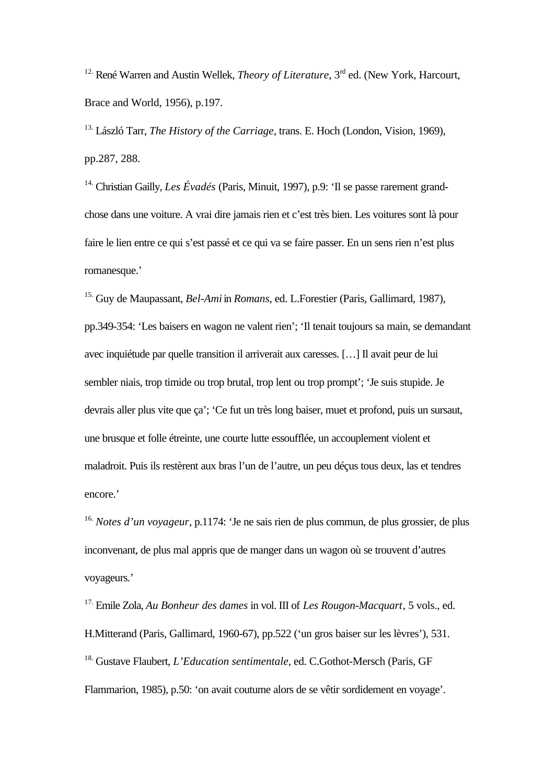<sup>12.</sup> René Warren and Austin Wellek, *Theory of Literature*, 3<sup>rd</sup> ed. (New York, Harcourt, Brace and World, 1956), p.197.

13. László Tarr, *The History of the Carriage*, trans. E. Hoch (London, Vision, 1969), pp.287, 288.

14. Christian Gailly, *Les Évadés* (Paris, Minuit, 1997), p.9: 'Il se passe rarement grandchose dans une voiture. A vrai dire jamais rien et c'est très bien. Les voitures sont là pour faire le lien entre ce qui s'est passé et ce qui va se faire passer. En un sens rien n'est plus romanesque.'

15. Guy de Maupassant, *Bel-Ami* in *Romans*, ed. L.Forestier (Paris, Gallimard, 1987), pp.349-354: 'Les baisers en wagon ne valent rien'; 'Il tenait toujours sa main, se demandant avec inquiétude par quelle transition il arriverait aux caresses. […] Il avait peur de lui sembler niais, trop timide ou trop brutal, trop lent ou trop prompt'; 'Je suis stupide. Je devrais aller plus vite que ça'; 'Ce fut un très long baiser, muet et profond, puis un sursaut, une brusque et folle étreinte, une courte lutte essoufflée, un accouplement violent et maladroit. Puis ils restèrent aux bras l'un de l'autre, un peu déçus tous deux, las et tendres encore.'

16. *Notes d'un voyageur*, p.1174: 'Je ne sais rien de plus commun, de plus grossier, de plus inconvenant, de plus mal appris que de manger dans un wagon où se trouvent d'autres voyageurs.'

17. Emile Zola, *Au Bonheur des dames* in vol. III of *Les Rougon-Macquart*, 5 vols., ed. H.Mitterand (Paris, Gallimard, 1960-67), pp.522 ('un gros baiser sur les lèvres'), 531. 18. Gustave Flaubert, *L'Education sentimentale*, ed. C.Gothot-Mersch (Paris, GF Flammarion, 1985), p.50: 'on avait coutume alors de se vêtir sordidement en voyage'.